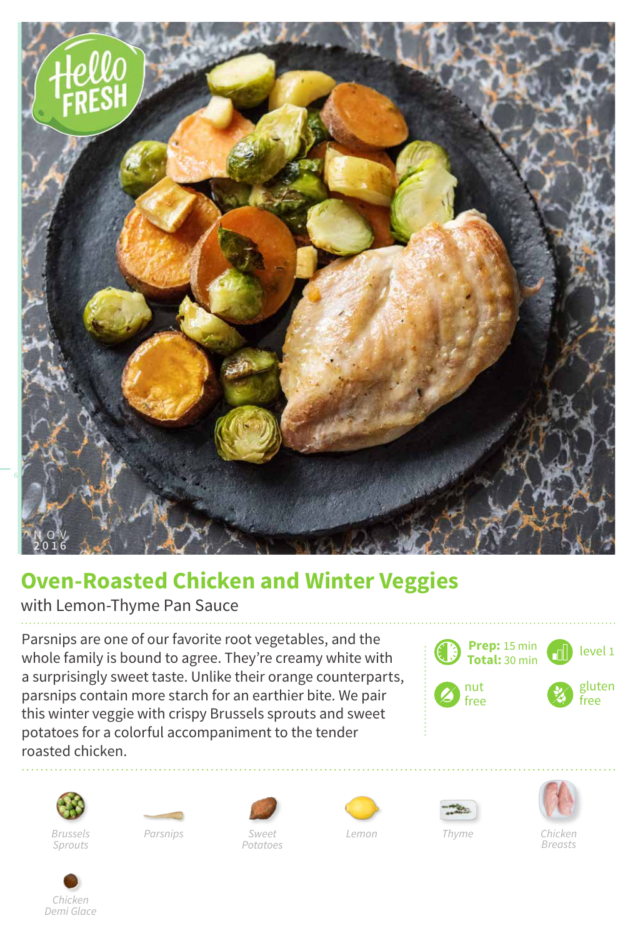

## **Oven-Roasted Chicken and Winter Veggies**

## with Lemon-Thyme Pan Sauce

Parsnips are one of our favorite root vegetables, and the whole family is bound to agree. They're creamy white with a surprisingly sweet taste. Unlike their orange counterparts, parsnips contain more starch for an earthier bite. We pair this winter veggie with crispy Brussels sprouts and sweet potatoes for a colorful accompaniment to the tender roasted chicken.

















*Chicken Breasts*



*Sweet Lemon Potatoes Brussels Parsnips Thyme*